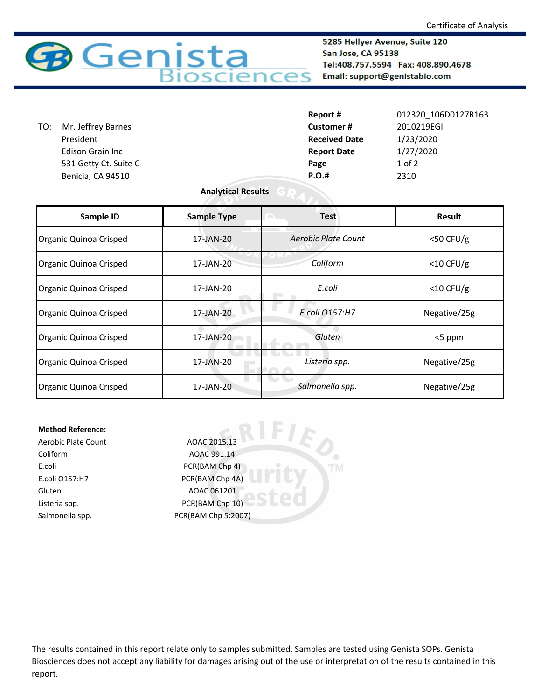

5285 Hellyer Avenue, Suite 120 San Jose, CA 95138 Tel:408.757.5594 Fax: 408.890.4678 Email: support@genistabio.com

|     |                         | Report #             | 012320 106D0127R163 |
|-----|-------------------------|----------------------|---------------------|
| TO: | Mr. Jeffrey Barnes      | <b>Customer#</b>     | 2010219EGI          |
|     | President               | <b>Received Date</b> | 1/23/2020           |
|     | <b>Edison Grain Inc</b> | <b>Report Date</b>   | 1/27/2020           |
|     | 531 Getty Ct. Suite C   | Page                 | $1$ of $2$          |
|     | Benicia, CA 94510       | $P.O.$ #             | 2310                |
|     |                         |                      |                     |

## **Analytical Results**

| Sample ID              | <b>Sample Type</b> | <b>Test</b>         | <b>Result</b> |
|------------------------|--------------------|---------------------|---------------|
| Organic Quinoa Crisped | 17-JAN-20          | Aerobic Plate Count | $<$ 50 CFU/g  |
| Organic Quinoa Crisped | 17-JAN-20          | Coliform            | $<$ 10 CFU/g  |
| Organic Quinoa Crisped | 17-JAN-20          | E.coli              | $<$ 10 CFU/g  |
| Organic Quinoa Crisped | 17-JAN-20          | E.coli 0157:H7      | Negative/25g  |
| Organic Quinoa Crisped | 17-JAN-20          | Gluten              | <5 ppm        |
| Organic Quinoa Crisped | 17-JAN-20          | Listeria spp.       | Negative/25g  |
| Organic Quinoa Crisped | 17-JAN-20          | Salmonella spp.     | Negative/25g  |

**TM** 

## **Method Reference:**

Coliform AOAC 991.14 E.coli PCR(BAM Chp 4) E.coli O157:H7 PCR(BAM Chp 4A) Gluten AOAC 061201 Listeria spp. The CR(BAM Chp 10)

Aerobic Plate Count AOAC 2015.13 Salmonella spp. PCR(BAM Chp 5:2007)

The results contained in this report relate only to samples submitted. Samples are tested using Genista SOPs. Genista Biosciences does not accept any liability for damages arising out of the use or interpretation of the results contained in this report.